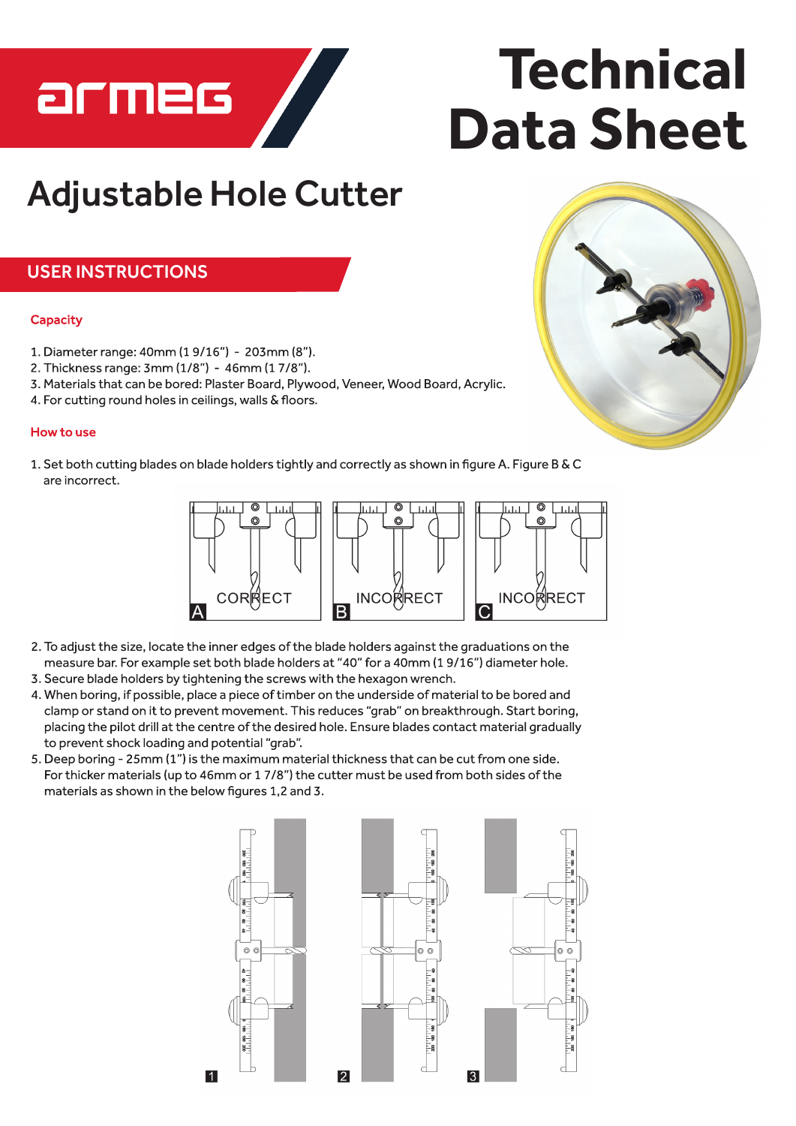

# **Technical Data Sheet**

# **Adjustable Hole Cutter**

### **USER INSTRUCTIONS**

#### **Capacity**

- 1. Diameter range: 40mm (19/16") 203mm (8").
- 2. Thickness range: 3mm (1/8") 46mm (17/8").
- 3. Materials that can be bored: Plaster Board, Plywood, Veneer, Wood Board, Acrylic.
- 4. For cutting round holes in ceilings, walls & floors.

#### How to use

1. Set both cutting blades on blade holders tightly and correctly as shown in figure A. Figure B & C are incorrect.



- 2. To adjust the size, locate the inner edges of the blade holders against the graduations on the measure bar. For example set both blade holders at "40" for a 40mm (19/16") diameter hole.
- 3. Secure blade holders by tightening the screws with the hexagon wrench.
- 4. When boring, if possible, place a piece of timber on the underside of material to be bored and clamp or stand on it to prevent movement. This reduces "grab" on breakthrough. Start boring, placing the pilot drill at the centre of the desired hole. Ensure blades contact material gradually to prevent shock loading and potential "grab".
- 5. Deep boring 25mm (1") is the maximum material thickness that can be cut from one side. For thicker materials (up to 46mm or 17/8") the cutter must be used from both sides of the materials as shown in the below figures 1,2 and 3.